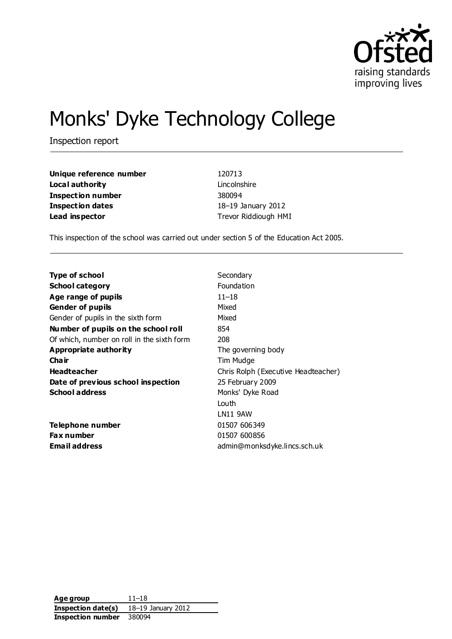

# Monks' Dyke Technology College

Inspection report

**Unique reference number** 120713 **Local authority** Lincolnshire **Inspection number** 380094 **Inspection dates** 18–19 January 2012 **Lead inspector** Trevor Riddiough HMI

This inspection of the school was carried out under section 5 of the Education Act 2005.

| <b>Type of school</b>                      | Secondary                           |
|--------------------------------------------|-------------------------------------|
| <b>School category</b>                     | Foundation                          |
| Age range of pupils                        | $11 - 18$                           |
| <b>Gender of pupils</b>                    | Mixed                               |
| Gender of pupils in the sixth form         | Mixed                               |
| Number of pupils on the school roll        | 854                                 |
| Of which, number on roll in the sixth form | 208                                 |
| <b>Appropriate authority</b>               | The governing body                  |
| Cha ir                                     | Tim Mudge                           |
| <b>Headteacher</b>                         | Chris Rolph (Executive Headteacher) |
| Date of previous school inspection         | 25 February 2009                    |
| <b>School address</b>                      | Monks' Dyke Road                    |
|                                            | Louth                               |
|                                            | LN11 9AW                            |
| Telephone number                           | 01507 606349                        |
| <b>Fax number</b>                          | 01507 600856                        |
| <b>Email address</b>                       | admin@monksdyke.lincs.sch.uk        |

**Age group** 11–18 **Inspection date(s)** 18–19 January 2012 **Inspection number** 380094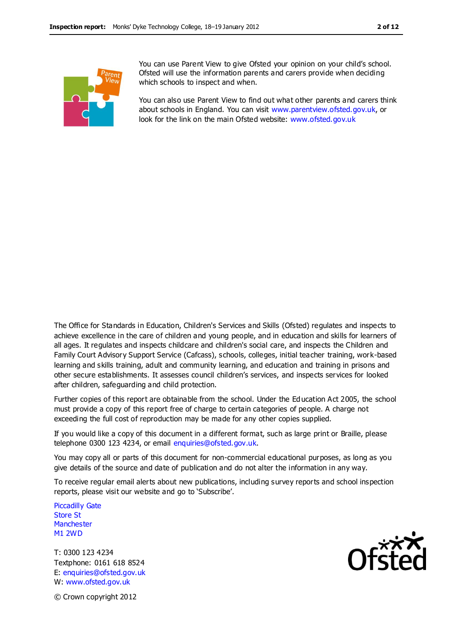

You can use Parent View to give Ofsted your opinion on your child's school. Ofsted will use the information parents and carers provide when deciding which schools to inspect and when.

You can also use Parent View to find out what other parents and carers think about schools in England. You can visit [www.parentview.ofsted.gov.uk,](http://www.parentview.ofsted.gov.uk/) or look for the link on the main Ofsted website: [www.ofsted.gov.uk](http://www.ofsted.gov.uk/)

The Office for Standards in Education, Children's Services and Skills (Ofsted) regulates and inspects to achieve excellence in the care of children and young people, and in education and skills for learners of all ages. It regulates and inspects childcare and children's social care, and inspects the Children and Family Court Advisory Support Service (Cafcass), schools, colleges, initial teacher training, work-based learning and skills training, adult and community learning, and education and training in prisons and other secure establishments. It assesses council children's services, and inspects services for looked after children, safeguarding and child protection.

Further copies of this report are obtainable from the school. Under the Education Act 2005, the school must provide a copy of this report free of charge to certain categories of people. A charge not exceeding the full cost of reproduction may be made for any other copies supplied.

If you would like a copy of this document in a different format, such as large print or Braille, please telephone 0300 123 4234, or email enquiries@ofsted.gov.uk.

You may copy all or parts of this document for non-commercial educational purposes, as long as you give details of the source and date of publication and do not alter the information in any way.

To receive regular email alerts about new publications, including survey reports and school inspection reports, please visit our website and go to 'Subscribe'.

Piccadilly Gate Store St **Manchester** M1 2WD

T: 0300 123 4234 Textphone: 0161 618 8524 E: enquiries@ofsted.gov.uk W: www.ofsted.gov.uk



© Crown copyright 2012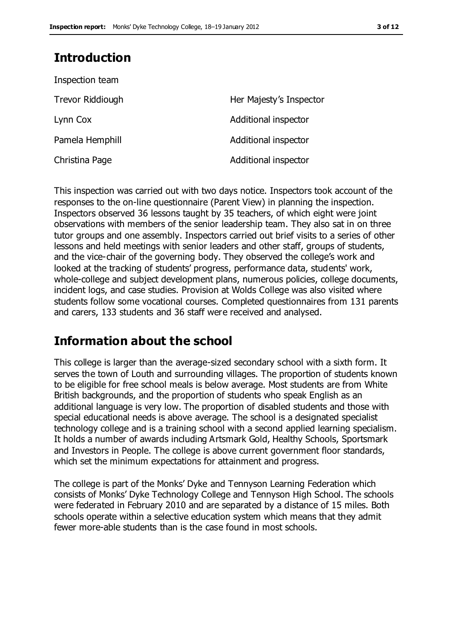# **Introduction**

| Inspection team  |                         |
|------------------|-------------------------|
| Trevor Riddiough | Her Majesty's Inspector |
| Lynn Cox         | Additional inspector    |
| Pamela Hemphill  | Additional inspector    |
| Christina Page   | Additional inspector    |

This inspection was carried out with two days notice. Inspectors took account of the responses to the on-line questionnaire (Parent View) in planning the inspection. Inspectors observed 36 lessons taught by 35 teachers, of which eight were joint observations with members of the senior leadership team. They also sat in on three tutor groups and one assembly. Inspectors carried out brief visits to a series of other lessons and held meetings with senior leaders and other staff, groups of students, and the vice-chair of the governing body. They observed the college's work and looked at the tracking of students' progress, performance data, students' work, whole-college and subject development plans, numerous policies, college documents, incident logs, and case studies. Provision at Wolds College was also visited where students follow some vocational courses. Completed questionnaires from 131 parents and carers, 133 students and 36 staff were received and analysed.

# **Information about the school**

This college is larger than the average-sized secondary school with a sixth form. It serves the town of Louth and surrounding villages. The proportion of students known to be eligible for free school meals is below average. Most students are from White British backgrounds, and the proportion of students who speak English as an additional language is very low. The proportion of disabled students and those with special educational needs is above average. The school is a designated specialist technology college and is a training school with a second applied learning specialism. It holds a number of awards including Artsmark Gold, Healthy Schools, Sportsmark and Investors in People. The college is above current government floor standards, which set the minimum expectations for attainment and progress.

The college is part of the Monks' Dyke and Tennyson Learning Federation which consists of Monks' Dyke Technology College and Tennyson High School. The schools were federated in February 2010 and are separated by a distance of 15 miles. Both schools operate within a selective education system which means that they admit fewer more-able students than is the case found in most schools.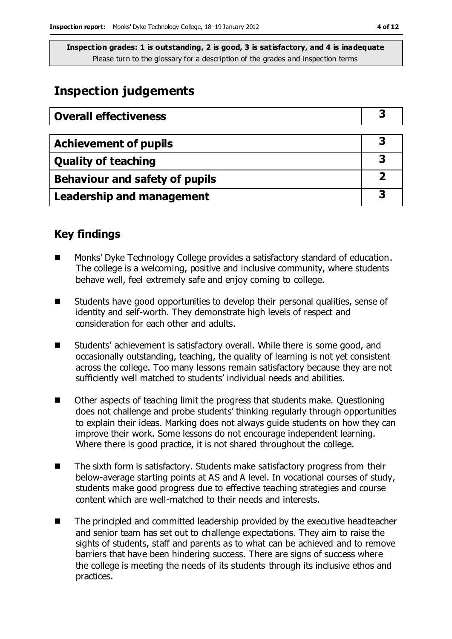# **Inspection judgements**

| <b>Overall effectiveness</b>     |  |
|----------------------------------|--|
|                                  |  |
| <b>Achievement of pupils</b>     |  |
| <b>Quality of teaching</b>       |  |
| Behaviour and safety of pupils   |  |
| <b>Leadership and management</b> |  |

# **Key findings**

- Monks' Dyke Technology College provides a satisfactory standard of education. The college is a welcoming, positive and inclusive community, where students behave well, feel extremely safe and enjoy coming to college.
- Students have good opportunities to develop their personal qualities, sense of identity and self-worth. They demonstrate high levels of respect and consideration for each other and adults.
- Students' achievement is satisfactory overall. While there is some good, and occasionally outstanding, teaching, the quality of learning is not yet consistent across the college. Too many lessons remain satisfactory because they are not sufficiently well matched to students' individual needs and abilities.
- Other aspects of teaching limit the progress that students make. Questioning does not challenge and probe students' thinking regularly through opportunities to explain their ideas. Marking does not always guide students on how they can improve their work. Some lessons do not encourage independent learning. Where there is good practice, it is not shared throughout the college.
- The sixth form is satisfactory. Students make satisfactory progress from their below-average starting points at AS and A level. In vocational courses of study, students make good progress due to effective teaching strategies and course content which are well-matched to their needs and interests.
- The principled and committed leadership provided by the executive headteacher and senior team has set out to challenge expectations. They aim to raise the sights of students, staff and parents as to what can be achieved and to remove barriers that have been hindering success. There are signs of success where the college is meeting the needs of its students through its inclusive ethos and practices.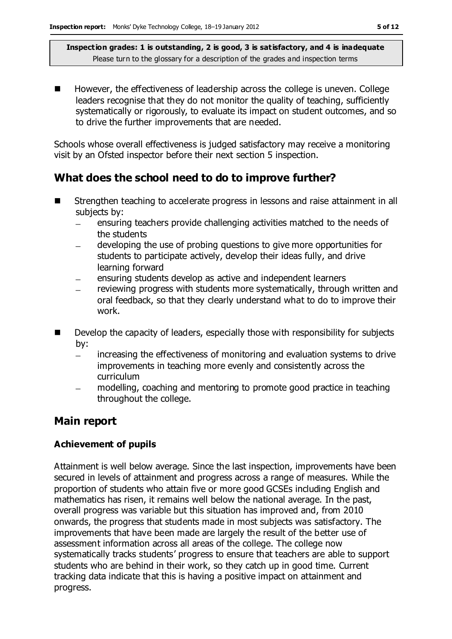However, the effectiveness of leadership across the college is uneven. College leaders recognise that they do not monitor the quality of teaching, sufficiently systematically or rigorously, to evaluate its impact on student outcomes, and so to drive the further improvements that are needed.

Schools whose overall effectiveness is judged satisfactory may receive a monitoring visit by an Ofsted inspector before their next section 5 inspection.

# **What does the school need to do to improve further?**

- Strengthen teaching to accelerate progress in lessons and raise attainment in all subjects by:
	- ensuring teachers provide challenging activities matched to the needs of  $\equiv$ the students
	- developing the use of probing questions to give more opportunities for students to participate actively, develop their ideas fully, and drive learning forward
	- ensuring students develop as active and independent learners  $\qquad \qquad -$
	- reviewing progress with students more systematically, through written and oral feedback, so that they clearly understand what to do to improve their work.
- **Develop the capacity of leaders, especially those with responsibility for subjects** by:
	- increasing the effectiveness of monitoring and evaluation systems to drive  $\equiv$ improvements in teaching more evenly and consistently across the curriculum
	- modelling, coaching and mentoring to promote good practice in teaching throughout the college.

### **Main report**

#### **Achievement of pupils**

Attainment is well below average. Since the last inspection, improvements have been secured in levels of attainment and progress across a range of measures. While the proportion of students who attain five or more good GCSEs including English and mathematics has risen, it remains well below the national average. In the past, overall progress was variable but this situation has improved and, from 2010 onwards, the progress that students made in most subjects was satisfactory. The improvements that have been made are largely the result of the better use of assessment information across all areas of the college. The college now systematically tracks students' progress to ensure that teachers are able to support students who are behind in their work, so they catch up in good time. Current tracking data indicate that this is having a positive impact on attainment and progress.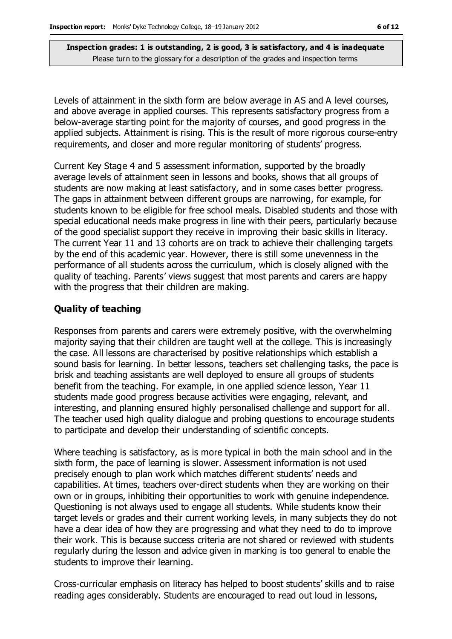Levels of attainment in the sixth form are below average in AS and A level courses, and above average in applied courses. This represents satisfactory progress from a below-average starting point for the majority of courses, and good progress in the applied subjects. Attainment is rising. This is the result of more rigorous course-entry requirements, and closer and more regular monitoring of students' progress.

Current Key Stage 4 and 5 assessment information, supported by the broadly average levels of attainment seen in lessons and books, shows that all groups of students are now making at least satisfactory, and in some cases better progress. The gaps in attainment between different groups are narrowing, for example, for students known to be eligible for free school meals. Disabled students and those with special educational needs make progress in line with their peers, particularly because of the good specialist support they receive in improving their basic skills in literacy. The current Year 11 and 13 cohorts are on track to achieve their challenging targets by the end of this academic year. However, there is still some unevenness in the performance of all students across the curriculum, which is closely aligned with the quality of teaching. Parents' views suggest that most parents and carers are happy with the progress that their children are making.

#### **Quality of teaching**

Responses from parents and carers were extremely positive, with the overwhelming majority saying that their children are taught well at the college. This is increasingly the case. All lessons are characterised by positive relationships which establish a sound basis for learning. In better lessons, teachers set challenging tasks, the pace is brisk and teaching assistants are well deployed to ensure all groups of students benefit from the teaching. For example, in one applied science lesson, Year 11 students made good progress because activities were engaging, relevant, and interesting, and planning ensured highly personalised challenge and support for all. The teacher used high quality dialogue and probing questions to encourage students to participate and develop their understanding of scientific concepts.

Where teaching is satisfactory, as is more typical in both the main school and in the sixth form, the pace of learning is slower. Assessment information is not used precisely enough to plan work which matches different students' needs and capabilities. At times, teachers over-direct students when they are working on their own or in groups, inhibiting their opportunities to work with genuine independence. Questioning is not always used to engage all students. While students know their target levels or grades and their current working levels, in many subjects they do not have a clear idea of how they are progressing and what they need to do to improve their work. This is because success criteria are not shared or reviewed with students regularly during the lesson and advice given in marking is too general to enable the students to improve their learning.

Cross-curricular emphasis on literacy has helped to boost students' skills and to raise reading ages considerably. Students are encouraged to read out loud in lessons,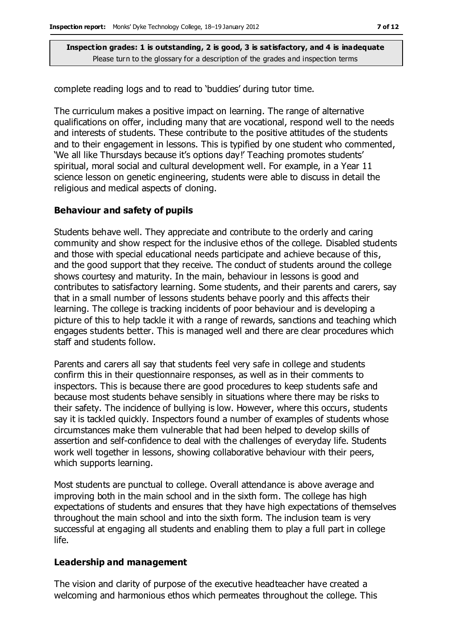complete reading logs and to read to 'buddies' during tutor time.

The curriculum makes a positive impact on learning. The range of alternative qualifications on offer, including many that are vocational, respond well to the needs and interests of students. These contribute to the positive attitudes of the students and to their engagement in lessons. This is typified by one student who commented, 'We all like Thursdays because it's options day!' Teaching promotes students' spiritual, moral social and cultural development well. For example, in a Year 11 science lesson on genetic engineering, students were able to discuss in detail the religious and medical aspects of cloning.

#### **Behaviour and safety of pupils**

Students behave well. They appreciate and contribute to the orderly and caring community and show respect for the inclusive ethos of the college. Disabled students and those with special educational needs participate and achieve because of this, and the good support that they receive. The conduct of students around the college shows courtesy and maturity. In the main, behaviour in lessons is good and contributes to satisfactory learning. Some students, and their parents and carers, say that in a small number of lessons students behave poorly and this affects their learning. The college is tracking incidents of poor behaviour and is developing a picture of this to help tackle it with a range of rewards, sanctions and teaching which engages students better. This is managed well and there are clear procedures which staff and students follow.

Parents and carers all say that students feel very safe in college and students confirm this in their questionnaire responses, as well as in their comments to inspectors. This is because there are good procedures to keep students safe and because most students behave sensibly in situations where there may be risks to their safety. The incidence of bullying is low. However, where this occurs, students say it is tackled quickly. Inspectors found a number of examples of students whose circumstances make them vulnerable that had been helped to develop skills of assertion and self-confidence to deal with the challenges of everyday life. Students work well together in lessons, showing collaborative behaviour with their peers, which supports learning.

Most students are punctual to college. Overall attendance is above average and improving both in the main school and in the sixth form. The college has high expectations of students and ensures that they have high expectations of themselves throughout the main school and into the sixth form. The inclusion team is very successful at engaging all students and enabling them to play a full part in college life.

#### **Leadership and management**

The vision and clarity of purpose of the executive headteacher have created a welcoming and harmonious ethos which permeates throughout the college. This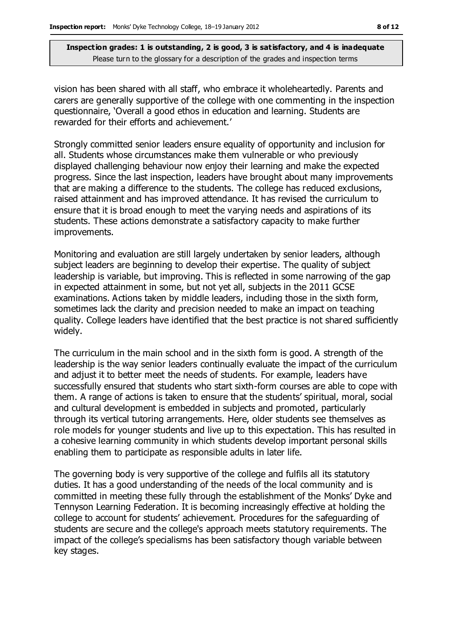vision has been shared with all staff, who embrace it wholeheartedly. Parents and carers are generally supportive of the college with one commenting in the inspection questionnaire, 'Overall a good ethos in education and learning. Students are rewarded for their efforts and achievement.'

Strongly committed senior leaders ensure equality of opportunity and inclusion for all. Students whose circumstances make them vulnerable or who previously displayed challenging behaviour now enjoy their learning and make the expected progress. Since the last inspection, leaders have brought about many improvements that are making a difference to the students. The college has reduced exclusions, raised attainment and has improved attendance. It has revised the curriculum to ensure that it is broad enough to meet the varying needs and aspirations of its students. These actions demonstrate a satisfactory capacity to make further improvements.

Monitoring and evaluation are still largely undertaken by senior leaders, although subject leaders are beginning to develop their expertise. The quality of subject leadership is variable, but improving. This is reflected in some narrowing of the gap in expected attainment in some, but not yet all, subjects in the 2011 GCSE examinations. Actions taken by middle leaders, including those in the sixth form, sometimes lack the clarity and precision needed to make an impact on teaching quality. College leaders have identified that the best practice is not shared sufficiently widely.

The curriculum in the main school and in the sixth form is good. A strength of the leadership is the way senior leaders continually evaluate the impact of the curriculum and adjust it to better meet the needs of students. For example, leaders have successfully ensured that students who start sixth-form courses are able to cope with them. A range of actions is taken to ensure that the students' spiritual, moral, social and cultural development is embedded in subjects and promoted, particularly through its vertical tutoring arrangements. Here, older students see themselves as role models for younger students and live up to this expectation. This has resulted in a cohesive learning community in which students develop important personal skills enabling them to participate as responsible adults in later life.

The governing body is very supportive of the college and fulfils all its statutory duties. It has a good understanding of the needs of the local community and is committed in meeting these fully through the establishment of the Monks' Dyke and Tennyson Learning Federation. It is becoming increasingly effective at holding the college to account for students' achievement. Procedures for the safeguarding of students are secure and the college's approach meets statutory requirements. The impact of the college's specialisms has been satisfactory though variable between key stages.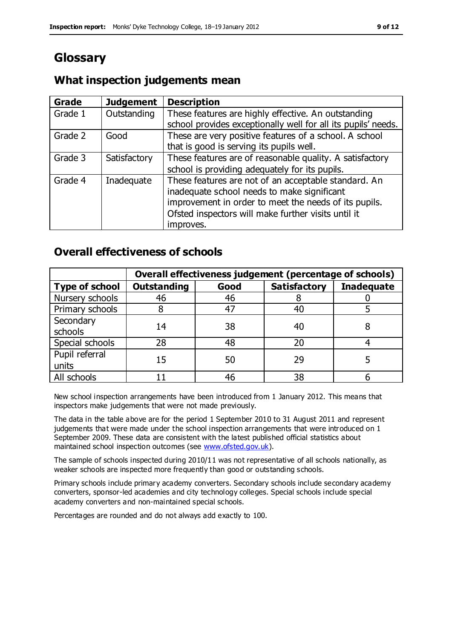# **Glossary**

# **What inspection judgements mean**

| <b>Grade</b> | <b>Judgement</b> | <b>Description</b>                                                                                                                                                                                                               |
|--------------|------------------|----------------------------------------------------------------------------------------------------------------------------------------------------------------------------------------------------------------------------------|
| Grade 1      | Outstanding      | These features are highly effective. An outstanding<br>school provides exceptionally well for all its pupils' needs.                                                                                                             |
| Grade 2      | Good             | These are very positive features of a school. A school<br>that is good is serving its pupils well.                                                                                                                               |
| Grade 3      | Satisfactory     | These features are of reasonable quality. A satisfactory<br>school is providing adequately for its pupils.                                                                                                                       |
| Grade 4      | Inadequate       | These features are not of an acceptable standard. An<br>inadequate school needs to make significant<br>improvement in order to meet the needs of its pupils.<br>Ofsted inspectors will make further visits until it<br>improves. |

# **Overall effectiveness of schools**

|                         | Overall effectiveness judgement (percentage of schools) |      |                     |                   |
|-------------------------|---------------------------------------------------------|------|---------------------|-------------------|
| <b>Type of school</b>   | <b>Outstanding</b>                                      | Good | <b>Satisfactory</b> | <b>Inadequate</b> |
| Nursery schools         | 46                                                      | 46   |                     |                   |
| Primary schools         |                                                         | 47   | 40                  |                   |
| Secondary<br>schools    | 14                                                      | 38   | 40                  |                   |
| Special schools         | 28                                                      | 48   | 20                  |                   |
| Pupil referral<br>units | 15                                                      | 50   | 29                  |                   |
| All schools             |                                                         | 46   | 38                  |                   |

New school inspection arrangements have been introduced from 1 January 2012. This means that inspectors make judgements that were not made previously.

The data in the table above are for the period 1 September 2010 to 31 August 2011 and represent judgements that were made under the school inspection arrangements that were introduced on 1 September 2009. These data are consistent with the latest published official statistics about maintained school inspection outcomes (see [www.ofsted.gov.uk\)](http://www.ofsted.gov.uk/).

The sample of schools inspected during 2010/11 was not representative of all schools nationally, as weaker schools are inspected more frequently than good or outstanding schools.

Primary schools include primary academy converters. Secondary schools include secondary academy converters, sponsor-led academies and city technology colleges. Special schools include special academy converters and non-maintained special schools.

Percentages are rounded and do not always add exactly to 100.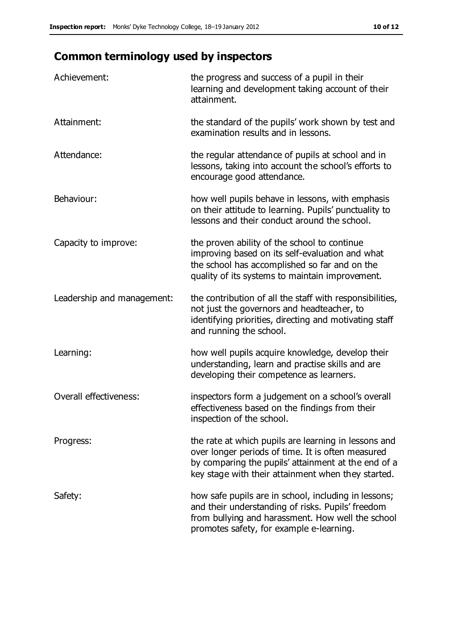# **Common terminology used by inspectors**

| Achievement:                  | the progress and success of a pupil in their<br>learning and development taking account of their<br>attainment.                                                                                                        |
|-------------------------------|------------------------------------------------------------------------------------------------------------------------------------------------------------------------------------------------------------------------|
| Attainment:                   | the standard of the pupils' work shown by test and<br>examination results and in lessons.                                                                                                                              |
| Attendance:                   | the regular attendance of pupils at school and in<br>lessons, taking into account the school's efforts to<br>encourage good attendance.                                                                                |
| Behaviour:                    | how well pupils behave in lessons, with emphasis<br>on their attitude to learning. Pupils' punctuality to<br>lessons and their conduct around the school.                                                              |
| Capacity to improve:          | the proven ability of the school to continue<br>improving based on its self-evaluation and what<br>the school has accomplished so far and on the<br>quality of its systems to maintain improvement.                    |
| Leadership and management:    | the contribution of all the staff with responsibilities,<br>not just the governors and headteacher, to<br>identifying priorities, directing and motivating staff<br>and running the school.                            |
| Learning:                     | how well pupils acquire knowledge, develop their<br>understanding, learn and practise skills and are<br>developing their competence as learners.                                                                       |
| <b>Overall effectiveness:</b> | inspectors form a judgement on a school's overall<br>effectiveness based on the findings from their<br>inspection of the school.                                                                                       |
| Progress:                     | the rate at which pupils are learning in lessons and<br>over longer periods of time. It is often measured<br>by comparing the pupils' attainment at the end of a<br>key stage with their attainment when they started. |
| Safety:                       | how safe pupils are in school, including in lessons;<br>and their understanding of risks. Pupils' freedom<br>from bullying and harassment. How well the school<br>promotes safety, for example e-learning.             |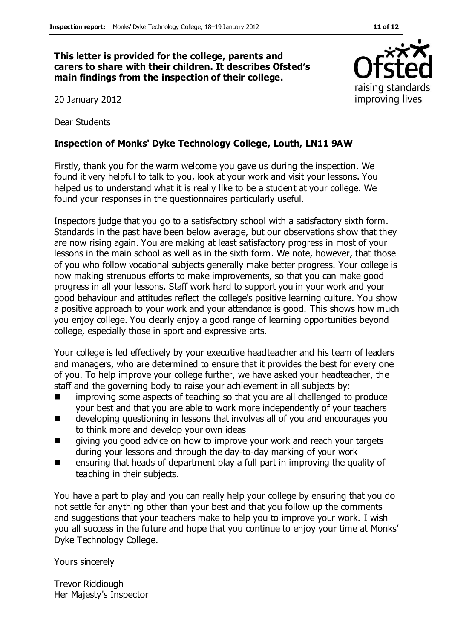**This letter is provided for the college, parents and carers to share with their children. It describes Ofsted's main findings from the inspection of their college.**

20 January 2012

Dear Students

#### **Inspection of Monks' Dyke Technology College, Louth, LN11 9AW**

Firstly, thank you for the warm welcome you gave us during the inspection. We found it very helpful to talk to you, look at your work and visit your lessons. You helped us to understand what it is really like to be a student at your college. We found your responses in the questionnaires particularly useful.

Inspectors judge that you go to a satisfactory school with a satisfactory sixth form. Standards in the past have been below average, but our observations show that they are now rising again. You are making at least satisfactory progress in most of your lessons in the main school as well as in the sixth form. We note, however, that those of you who follow vocational subjects generally make better progress. Your college is now making strenuous efforts to make improvements, so that you can make good progress in all your lessons. Staff work hard to support you in your work and your good behaviour and attitudes reflect the college's positive learning culture. You show a positive approach to your work and your attendance is good. This shows how much you enjoy college. You clearly enjoy a good range of learning opportunities beyond college, especially those in sport and expressive arts.

Your college is led effectively by your executive headteacher and his team of leaders and managers, who are determined to ensure that it provides the best for every one of you. To help improve your college further, we have asked your headteacher, the staff and the governing body to raise your achievement in all subjects by:

- **In** improving some aspects of teaching so that you are all challenged to produce your best and that you are able to work more independently of your teachers
- **EXECT** developing questioning in lessons that involves all of you and encourages you to think more and develop your own ideas
- giving you good advice on how to improve your work and reach your targets during your lessons and through the day-to-day marking of your work
- ensuring that heads of department play a full part in improving the quality of teaching in their subjects.

You have a part to play and you can really help your college by ensuring that you do not settle for anything other than your best and that you follow up the comments and suggestions that your teachers make to help you to improve your work. I wish you all success in the future and hope that you continue to enjoy your time at Monks' Dyke Technology College.

Yours sincerely

Trevor Riddiough Her Majesty's Inspector